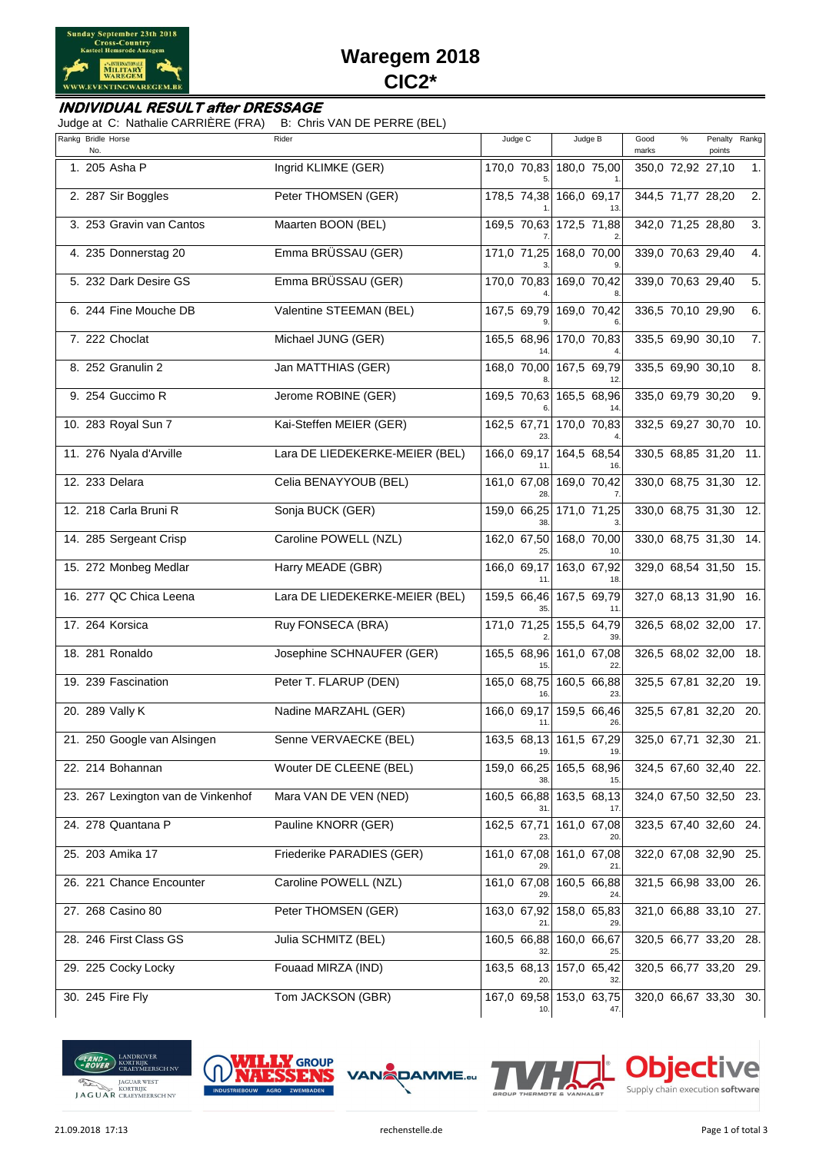

# **Waregem 2018 CIC2\***

#### **INDIVIDUAL RESULT after DRESSAGE**

Judge at C: Nathalie CARRIÈRE (FRA) B: Chris VAN DE PERRE (BEL)

| Rankg Bridle Horse<br>No.          | Rider                          | Judge C            | Judge B                        | Good<br>%<br>marks    | Penalty<br>points | Rankg |
|------------------------------------|--------------------------------|--------------------|--------------------------------|-----------------------|-------------------|-------|
| 1. 205 Asha P                      | Ingrid KLIMKE (GER)            |                    | 170,0 70,83 180,0 75,00        | 350,0 72,92 27,10     |                   | 1.    |
| 2. 287 Sir Boggles                 | Peter THOMSEN (GER)            |                    | 178,5 74,38 166,0 69,17        | 344,5 71,77 28,20     |                   | 2.    |
| 3. 253 Gravin van Cantos           | Maarten BOON (BEL)             |                    | 169,5 70,63 172,5 71,88        | 342,0 71,25 28,80     |                   | 3.    |
| 4. 235 Donnerstag 20               | Emma BRÜSSAU (GER)             |                    | 171,0 71,25 168,0 70,00        | 339,0 70,63 29,40     |                   | 4.    |
| 5. 232 Dark Desire GS              | Emma BRÜSSAU (GER)             | 170,0 70,83        | 169,0 70,42                    | 339,0 70,63 29,40     |                   | 5.    |
| 6. 244 Fine Mouche DB              | Valentine STEEMAN (BEL)        | 167,5 69,79        | 169,0 70,42                    | 336,5 70,10 29,90     |                   | 6.    |
| 7. 222 Choclat                     | Michael JUNG (GER)             | 165,5 68,96        | 170,0 70,83                    | 335,5 69,90 30,10     |                   | 7.    |
| 8. 252 Granulin 2                  | Jan MATTHIAS (GER)             | 168,0 70,00        | 167,5 69,79                    | 335,5 69,90 30,10     |                   | 8.    |
| 9. 254 Guccimo R                   | Jerome ROBINE (GER)            | 169,5 70,63        | 165,5 68,96                    | 335,0 69,79 30,20     |                   | 9.    |
| 10. 283 Royal Sun 7                | Kai-Steffen MEIER (GER)        | 162,5 67,71        | 170,0 70,83                    | 332,5 69,27 30,70 10. |                   |       |
| 11. 276 Nyala d'Arville            | Lara DE LIEDEKERKE-MEIER (BEL) | 166,0 69,17        | 164,5 68,54                    | 330,5 68,85 31,20     |                   | -11.  |
| 12. 233 Delara                     | Celia BENAYYOUB (BEL)          | 161,0 67,08<br>28  | 169,0 70,42                    | 330,0 68,75 31,30 12. |                   |       |
| 12. 218 Carla Bruni R              | Sonja BUCK (GER)               | 159,0 66,25<br>38  | 171,0 71,25                    | 330,0 68,75 31,30     |                   | 12.   |
| 14. 285 Sergeant Crisp             | Caroline POWELL (NZL)          | 162,0 67,50<br>25  | 168,0 70,00                    | 330,0 68,75 31,30 14. |                   |       |
| 15. 272 Monbeg Medlar              | Harry MEADE (GBR)              | 166,0 69,17<br>11  | 163,0 67,92<br>18.             | 329,0 68,54 31,50     |                   | 15.   |
| 16. 277 QC Chica Leena             | Lara DE LIEDEKERKE-MEIER (BEL) | 159,5 66,46<br>35. | 167,5 69,79<br>11.             | 327,0 68,13 31,90 16. |                   |       |
| 17. 264 Korsica                    | Ruy FONSECA (BRA)              |                    | 171,0 71,25 155,5 64,79<br>39. | 326,5 68,02 32,00 17. |                   |       |
| 18. 281 Ronaldo                    | Josephine SCHNAUFER (GER)      | 165,5 68,96        | 161,0 67,08                    | 326,5 68,02 32,00 18. |                   |       |
| 19. 239 Fascination                | Peter T. FLARUP (DEN)          | 165,0 68,75<br>16. | 160,5 66,88<br>23.             | 325,5 67,81 32,20 19. |                   |       |
| 20. 289 Vally K                    | Nadine MARZAHL (GER)           | 166,0 69,17        | 159,5 66,46<br>26.             | 325,5 67,81 32,20 20. |                   |       |
| 21. 250 Google van Alsingen        | Senne VERVAECKE (BEL)          | 19.                | 163,5 68,13 161,5 67,29<br>19. | 325,0 67,71 32,30 21. |                   |       |
| 22. 214 Bohannan                   | Wouter DE CLEENE (BEL)         | 159,0 66,25        | 165,5 68,96                    | 324,5 67,60 32,40 22. |                   |       |
| 23. 267 Lexington van de Vinkenhof | Mara VAN DE VEN (NED)          |                    | 160,5 66,88 163,5 68,13        | 324,0 67,50 32,50 23. |                   |       |
| 24. 278 Quantana P                 | Pauline KNORR (GER)            | 162,5 67,71        | 161,0 67,08                    | 323,5 67,40 32,60 24. |                   |       |
| 25. 203 Amika 17                   | Friederike PARADIES (GER)      |                    | 161,0 67,08 161,0 67,08        | 322,0 67,08 32,90 25. |                   |       |
| 26. 221 Chance Encounter           | Caroline POWELL (NZL)          | 161,0 67,08        | 160,5 66,88                    | 321,5 66,98 33,00 26. |                   |       |
| 27. 268 Casino 80                  | Peter THOMSEN (GER)            | 163,0 67,92        | 158,0 65,83                    | 321,0 66,88 33,10 27. |                   |       |
| 28. 246 First Class GS             | Julia SCHMITZ (BEL)            | 160,5 66,88        | 160,0 66,67                    | 320,5 66,77 33,20 28. |                   |       |
| 29. 225 Cocky Locky                | Fouaad MIRZA (IND)             | 163,5 68,13<br>20  | 157,0 65,42                    | 320,5 66,77 33,20 29. |                   |       |
| 30. 245 Fire Fly                   | Tom JACKSON (GBR)              | 10.                | 167,0 69,58 153,0 63,75<br>47. | 320,0 66,67 33,30 30. |                   |       |







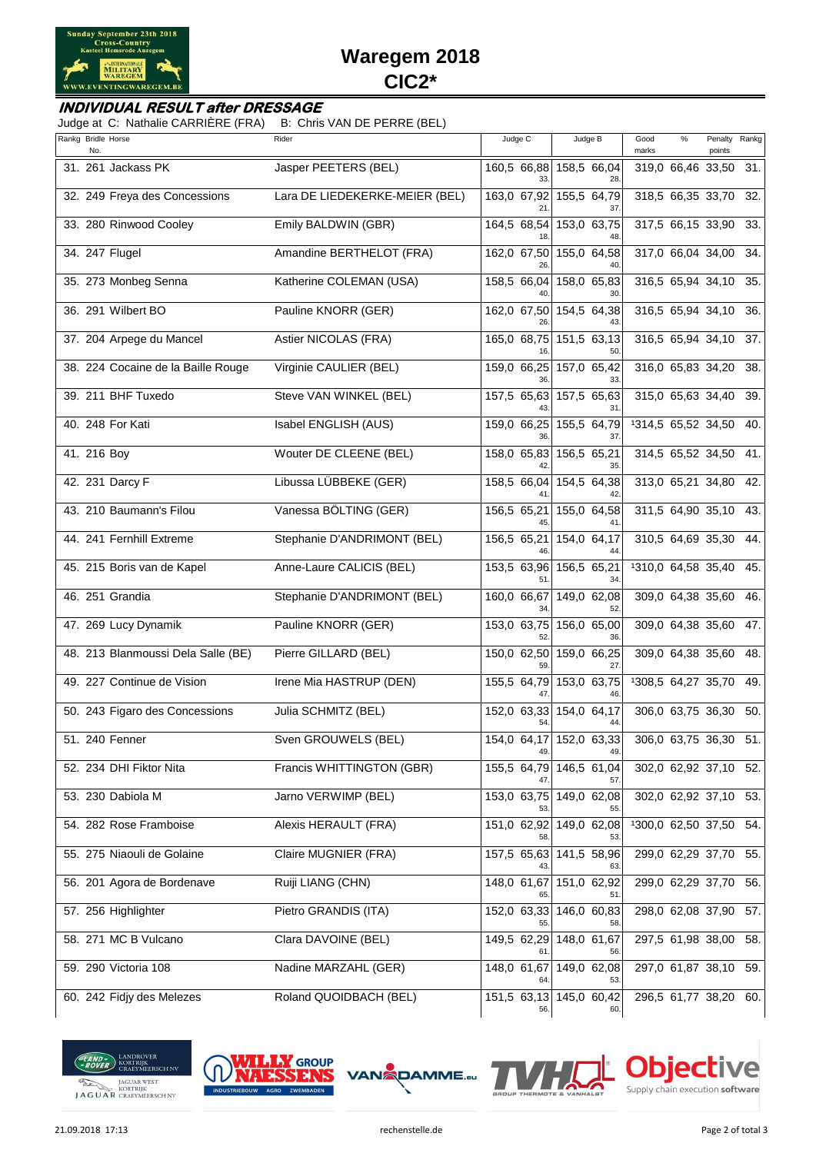

# **Waregem 2018 CIC2\***

#### **INDIVIDUAL RESULT after DRESSAGE**

Judge at C: Nathalie CARRIÈRE (FRA) B: Chris VAN DE PERRE (BEL)

| Rankg Bridle Horse<br>No.          | Rider                          | Judge C            | Judge B                        | Good<br>marks          | $\%$ | Penalty Rankg<br>points |     |
|------------------------------------|--------------------------------|--------------------|--------------------------------|------------------------|------|-------------------------|-----|
| 31. 261 Jackass PK                 | Jasper PEETERS (BEL)           | 160,5 66,88        | 158,5 66,04<br>28              | 319,0 66,46 33,50 31.  |      |                         |     |
| 32. 249 Freya des Concessions      | Lara DE LIEDEKERKE-MEIER (BEL) | 163,0 67,92        | 155,5 64,79                    | 318,5 66,35 33,70 32.  |      |                         |     |
| 33. 280 Rinwood Cooley             | Emily BALDWIN (GBR)            | 164,5 68,54        | 153,0 63,75                    | 317,5 66,15 33,90 33.  |      |                         |     |
| 34. 247 Flugel                     | Amandine BERTHELOT (FRA)       | 162,0 67,50        | 155,0 64,58                    | 317,0 66,04 34,00 34.  |      |                         |     |
| 35. 273 Monbeg Senna               | Katherine COLEMAN (USA)        | 158,5 66,04        | 158,0 65,83                    | 316,5 65,94 34,10 35.  |      |                         |     |
| 36. 291 Wilbert BO                 | Pauline KNORR (GER)            | 162,0 67,50        | 154,5 64,38                    | 316,5 65,94 34,10 36.  |      |                         |     |
| 37. 204 Arpege du Mancel           | Astier NICOLAS (FRA)           | 165,0 68,75        | 151,5 63,13                    | 316,5 65,94 34,10 37.  |      |                         |     |
| 38. 224 Cocaine de la Baille Rouge | Virginie CAULIER (BEL)         | 159,0 66,25        | 157,0 65,42                    | 316,0 65,83 34,20 38.  |      |                         |     |
| 39. 211 BHF Tuxedo                 | Steve VAN WINKEL (BEL)         | 157,5 65,63        | 157,5 65,63<br>31              | 315,0 65,63 34,40 39.  |      |                         |     |
| 40. 248 For Kati                   | Isabel ENGLISH (AUS)           | 159,0 66,25        | 155,5 64,79<br>37              | 1314,5 65,52 34,50 40. |      |                         |     |
| 41. 216 Boy                        | Wouter DE CLEENE (BEL)         | 158,0 65,83        | 156,5 65,21<br>35              | 314,5 65,52 34,50 41.  |      |                         |     |
| 42. 231 Darcy F                    | Libussa LÜBBEKE (GER)          | 158,5 66,04        | 154,5 64,38<br>42.             | 313,0 65,21 34,80 42.  |      |                         |     |
| 43. 210 Baumann's Filou            | Vanessa BÖLTING (GER)          | 156,5 65,21        | 155,0 64,58                    | 311,5 64,90 35,10 43.  |      |                         |     |
| 44. 241 Fernhill Extreme           | Stephanie D'ANDRIMONT (BEL)    | 156,5 65,21        | 154,0 64,17                    | 310,5 64,69 35,30 44.  |      |                         |     |
| 45. 215 Boris van de Kapel         | Anne-Laure CALICIS (BEL)       | 153,5 63,96        | 156,5 65,21<br>34              | 1310,0 64,58 35,40 45. |      |                         |     |
| 46. 251 Grandia                    | Stephanie D'ANDRIMONT (BEL)    | 160,0 66,67<br>34  | 149,0 62,08<br>52.             | 309,0 64,38 35,60 46.  |      |                         |     |
| 47. 269 Lucy Dynamik               | Pauline KNORR (GER)            | 153,0 63,75        | 156,0 65,00<br>36.             | 309,0 64,38 35,60 47.  |      |                         |     |
| 48. 213 Blanmoussi Dela Salle (BE) | Pierre GILLARD (BEL)           | 150,0 62,50        | 159,0 66,25<br>27              | 309,0 64,38 35,60 48.  |      |                         |     |
| 49. 227 Continue de Vision         | Irene Mia HASTRUP (DEN)        | 155,5 64,79        | 153,0 63,75<br>46.             | 1308,5 64,27 35,70 49. |      |                         |     |
| 50. 243 Figaro des Concessions     | Julia SCHMITZ (BEL)            | 152,0 63,33<br>54. | 154,0 64,17                    | 306,0 63,75 36,30      |      |                         | 50. |
| 51. 240 Fenner                     | Sven GROUWELS (BEL)            | 49.                | 154,0 64,17 152,0 63,33<br>49. | 306,0 63,75 36,30      |      |                         | 51. |
| 52. 234 DHI Fiktor Nita            | Francis WHITTINGTON (GBR)      | 155,5 64,79        | 146,5 61,04<br>57.             | 302,0 62,92 37,10 52.  |      |                         |     |
| 53. 230 Dabiola M                  | Jarno VERWIMP (BEL)            | 153,0 63,75        | 149,0 62,08<br>55.             | 302,0 62,92 37,10 53.  |      |                         |     |
| 54. 282 Rose Framboise             | Alexis HERAULT (FRA)           | 151,0 62,92        | 149,0 62,08                    | 1300,0 62,50 37,50 54. |      |                         |     |
| 55. 275 Niaouli de Golaine         | Claire MUGNIER (FRA)           |                    | 157,5 65,63 141,5 58,96<br>63. | 299,0 62,29 37,70 55.  |      |                         |     |
| 56. 201 Agora de Bordenave         | Ruiji LIANG (CHN)              | 148,0 61,67        | 151,0 62,92                    | 299,0 62,29 37,70 56.  |      |                         |     |
| 57. 256 Highlighter                | Pietro GRANDIS (ITA)           | 152,0 63,33        | 146,0 60,83<br>58.             | 298,0 62,08 37,90      |      |                         | 57. |
| 58. 271 MC B Vulcano               | Clara DAVOINE (BEL)            | 149,5 62,29        | 148,0 61,67                    | 297,5 61,98 38,00 58.  |      |                         |     |
| 59. 290 Victoria 108               | Nadine MARZAHL (GER)           | 148,0 61,67<br>64  | 149,0 62,08<br>53.             | 297,0 61,87 38,10 59.  |      |                         |     |
| 60. 242 Fidjy des Melezes          | Roland QUOIDBACH (BEL)         | 151,5 63,13<br>56. | 145,0 60,42<br>60.             | 296,5 61,77 38,20 60.  |      |                         |     |